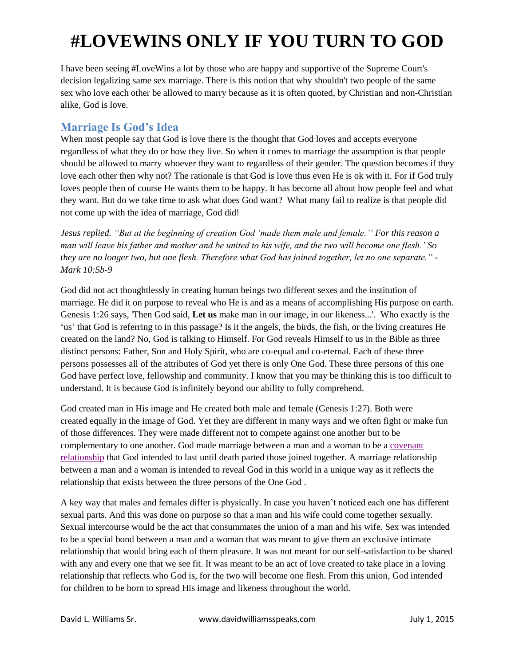I have been seeing #LoveWins a lot by those who are happy and supportive of the Supreme Court's decision legalizing same sex marriage. There is this notion that why shouldn't two people of the same sex who love each other be allowed to marry because as it is often quoted, by Christian and non-Christian alike, God is love.

#### **Marriage Is God's Idea**

When most people say that God is love there is the thought that God loves and accepts everyone regardless of what they do or how they live. So when it comes to marriage the assumption is that people should be allowed to marry whoever they want to regardless of their gender. The question becomes if they love each other then why not? The rationale is that God is love thus even He is ok with it. For if God truly loves people then of course He wants them to be happy. It has become all about how people feel and what they want. But do we take time to ask what does God want? What many fail to realize is that people did not come up with the idea of marriage, God did!

*Jesus replied. "But at the beginning of creation God 'made them male and female.'' For this reason a man will leave his father and mother and be united to his wife, and the two will become one flesh.' So they are no longer two, but one flesh. Therefore what God has joined together, let no one separate." - Mark 10:5b-9*

God did not act thoughtlessly in creating human beings two different sexes and the institution of marriage. He did it on purpose to reveal who He is and as a means of accomplishing His purpose on earth. Genesis 1:26 says, 'Then God said, **Let us** make man in our image, in our likeness...'. Who exactly is the 'us' that God is referring to in this passage? Is it the angels, the birds, the fish, or the living creatures He created on the land? No, God is talking to Himself. For God reveals Himself to us in the Bible as three distinct persons: Father, Son and Holy Spirit, who are co-equal and co-eternal. Each of these three persons possesses all of the attributes of God yet there is only One God. These three persons of this one God have perfect love, fellowship and community. I know that you may be thinking this is too difficult to understand. It is because God is infinitely beyond our ability to fully comprehend.

God created man in His image and He created both male and female (Genesis 1:27). Both were created equally in the image of God. Yet they are different in many ways and we often fight or make fun of those differences. They were made different not to compete against one another but to be complementary to one another. God made marriage between a man and a woman to be a [covenant](http://livingontheedge.org/read-blog/blog/2013/02/05/marriage-is-a-holy-covenant-not-a-contract)  [relationship](http://livingontheedge.org/read-blog/blog/2013/02/05/marriage-is-a-holy-covenant-not-a-contract) that God intended to last until death parted those joined together. A marriage relationship between a man and a woman is intended to reveal God in this world in a unique way as it reflects the relationship that exists between the three persons of the One God .

A key way that males and females differ is physically. In case you haven't noticed each one has different sexual parts. And this was done on purpose so that a man and his wife could come together sexually. Sexual intercourse would be the act that consummates the union of a man and his wife. Sex was intended to be a special bond between a man and a woman that was meant to give them an exclusive intimate relationship that would bring each of them pleasure. It was not meant for our self-satisfaction to be shared with any and every one that we see fit. It was meant to be an act of love created to take place in a loving relationship that reflects who God is, for the two will become one flesh. From this union, God intended for children to be born to spread His image and likeness throughout the world.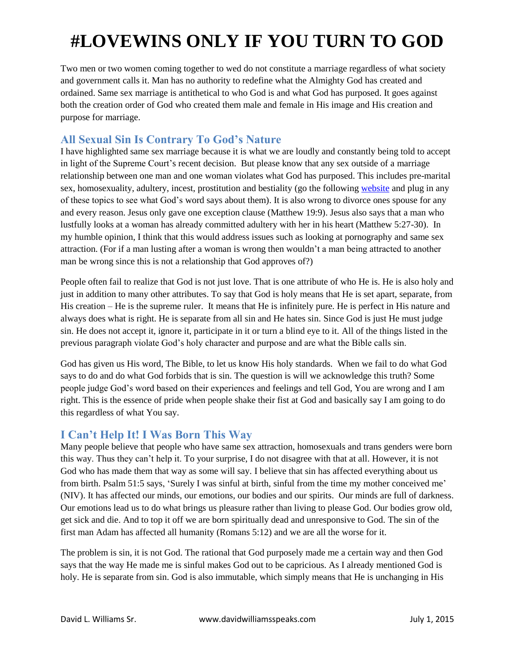Two men or two women coming together to wed do not constitute a marriage regardless of what society and government calls it. Man has no authority to redefine what the Almighty God has created and ordained. Same sex marriage is antithetical to who God is and what God has purposed. It goes against both the creation order of God who created them male and female in His image and His creation and purpose for marriage.

#### **All Sexual Sin Is Contrary To God's Nature**

I have highlighted same sex marriage because it is what we are loudly and constantly being told to accept in light of the Supreme Court's recent decision. But please know that any sex outside of a marriage relationship between one man and one woman violates what God has purposed. This includes pre-marital sex, homosexuality, adultery, incest, prostitution and bestiality (go the following [website](http://www.openbible.info/topics/) and plug in any of these topics to see what God's word says about them). It is also wrong to divorce ones spouse for any and every reason. Jesus only gave one exception clause (Matthew 19:9). Jesus also says that a man who lustfully looks at a woman has already committed adultery with her in his heart (Matthew 5:27-30). In my humble opinion, I think that this would address issues such as looking at pornography and same sex attraction. (For if a man lusting after a woman is wrong then wouldn't a man being attracted to another man be wrong since this is not a relationship that God approves of?)

People often fail to realize that God is not just love. That is one attribute of who He is. He is also holy and just in addition to many other attributes. To say that God is holy means that He is set apart, separate, from His creation – He is the supreme ruler. It means that He is infinitely pure. He is perfect in His nature and always does what is right. He is separate from all sin and He hates sin. Since God is just He must judge sin. He does not accept it, ignore it, participate in it or turn a blind eye to it. All of the things listed in the previous paragraph violate God's holy character and purpose and are what the Bible calls sin.

God has given us His word, The Bible, to let us know His holy standards. When we fail to do what God says to do and do what God forbids that is sin. The question is will we acknowledge this truth? Some people judge God's word based on their experiences and feelings and tell God, You are wrong and I am right. This is the essence of pride when people shake their fist at God and basically say I am going to do this regardless of what You say.

### **I Can't Help It! I Was Born This Way**

Many people believe that people who have same sex attraction, homosexuals and trans genders were born this way. Thus they can't help it. To your surprise, I do not disagree with that at all. However, it is not God who has made them that way as some will say. I believe that sin has affected everything about us from birth. Psalm 51:5 says, 'Surely I was sinful at birth, sinful from the time my mother conceived me' (NIV). It has affected our minds, our emotions, our bodies and our spirits. Our minds are full of darkness. Our emotions lead us to do what brings us pleasure rather than living to please God. Our bodies grow old, get sick and die. And to top it off we are born spiritually dead and unresponsive to God. The sin of the first man Adam has affected all humanity (Romans 5:12) and we are all the worse for it.

The problem is sin, it is not God. The rational that God purposely made me a certain way and then God says that the way He made me is sinful makes God out to be capricious. As I already mentioned God is holy. He is separate from sin. God is also immutable, which simply means that He is unchanging in His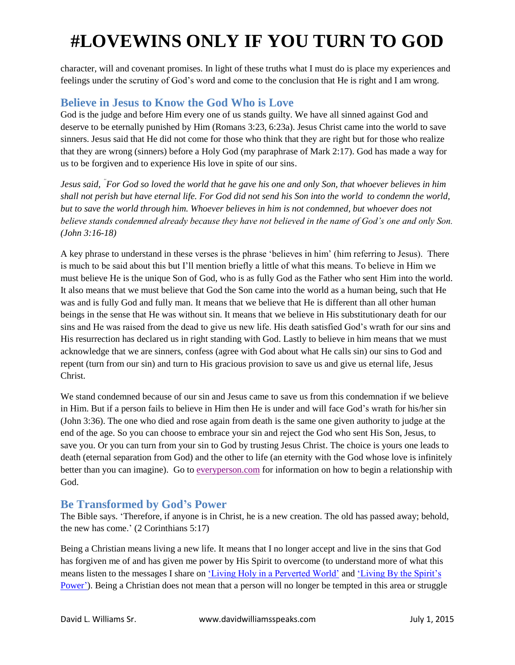character, will and covenant promises. In light of these truths what I must do is place my experiences and feelings under the scrutiny of God's word and come to the conclusion that He is right and I am wrong.

### **Believe in Jesus to Know the God Who is Love**

God is the judge and before Him every one of us stands guilty. We have all sinned against God and deserve to be eternally punished by Him (Romans 3:23, 6:23a). Jesus Christ came into the world to save sinners. Jesus said that He did not come for those who think that they are right but for those who realize that they are wrong (sinners) before a Holy God (my paraphrase of Mark 2:17). God has made a way for us to be forgiven and to experience His love in spite of our sins.

*Jesus said, " For God so loved the world that he gave his one and only Son, that whoever believes in him shall not perish but have eternal life. For God did not send his Son into the world to condemn the world, but to save the world through him. Whoever believes in him is not condemned, but whoever does not believe stands condemned already because they have not believed in the name of God's one and only Son. (John 3:16-18)*

A key phrase to understand in these verses is the phrase 'believes in him' (him referring to Jesus). There is much to be said about this but I'll mention briefly a little of what this means. To believe in Him we must believe He is the unique Son of God, who is as fully God as the Father who sent Him into the world. It also means that we must believe that God the Son came into the world as a human being, such that He was and is fully God and fully man. It means that we believe that He is different than all other human beings in the sense that He was without sin. It means that we believe in His substitutionary death for our sins and He was raised from the dead to give us new life. His death satisfied God's wrath for our sins and His resurrection has declared us in right standing with God. Lastly to believe in him means that we must acknowledge that we are sinners, confess (agree with God about what He calls sin) our sins to God and repent (turn from our sin) and turn to His gracious provision to save us and give us eternal life, Jesus Christ.

We stand condemned because of our sin and Jesus came to save us from this condemnation if we believe in Him. But if a person fails to believe in Him then He is under and will face God's wrath for his/her sin (John 3:36). The one who died and rose again from death is the same one given authority to judge at the end of the age. So you can choose to embrace your sin and reject the God who sent His Son, Jesus, to save you. Or you can turn from your sin to God by trusting Jesus Christ. The choice is yours one leads to death (eternal separation from God) and the other to life (an eternity with the God whose love is infinitely better than you can imagine). Go t[o everyperson.com](http://www.everyperson.com/) for information on how to begin a relationship with God.

#### **Be Transformed by God's Power**

The Bible says. 'Therefore, if anyone is in Christ, he is a new creation. The old has passed away; behold, the new has come.' (2 Corinthians 5:17)

Being a Christian means living a new life. It means that I no longer accept and live in the sins that God has forgiven me of and has given me power by His Spirit to overcome (to understand more of what this means listen to the messages I share on ['Living Holy in a Perverted World'](http://www.davidwilliamsspeaks.com/#!purityholiness/ccy5) and ['Living By the Spirit's](http://www.davidwilliamsspeaks.com/#!church/c240r)  [Power'\)](http://www.davidwilliamsspeaks.com/#!church/c240r). Being a Christian does not mean that a person will no longer be tempted in this area or struggle